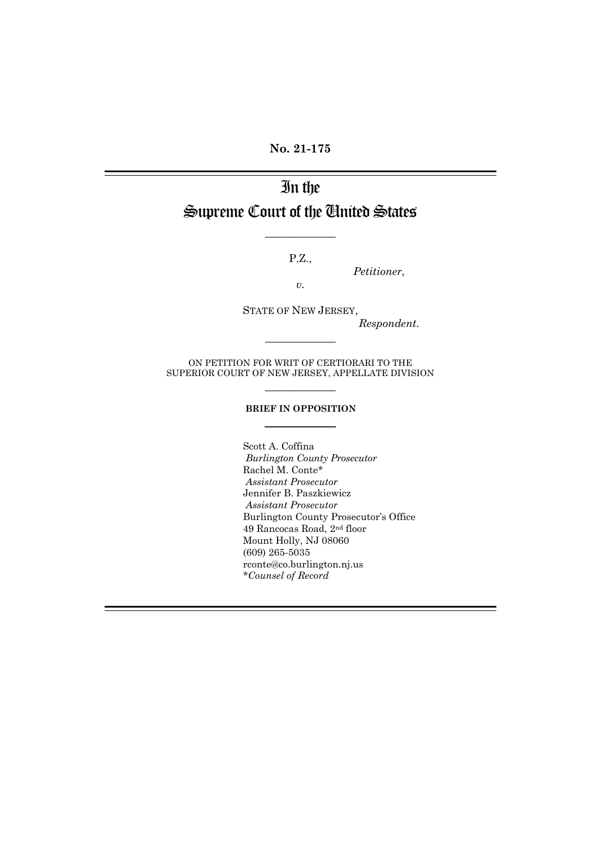**No. 21-175**

# In the Supreme Court of the United States

P.Z.,

 $\frac{1}{2}$ 

*Petitioner*,

*v.*

STATE OF NEW JERSEY,

*Respondent*.

ON PETITION FOR WRIT OF CERTIORARI TO THE SUPERIOR COURT OF NEW JERSEY, APPELLATE DIVISION  $\frac{1}{2}$ 

 $\frac{1}{2}$ 

#### **BRIEF IN OPPOSITION**  $\overline{\phantom{a}}$

Scott A. Coffina *Burlington County Prosecutor*  Rachel M. Conte\* *Assistant Prosecutor* Jennifer B. Paszkiewicz *Assistant Prosecutor* Burlington County Prosecutor's Office 49 Rancocas Road, 2nd floor Mount Holly, NJ 08060 (609) 265-5035 rconte@co.burlington.nj.us *\*Counsel of Record*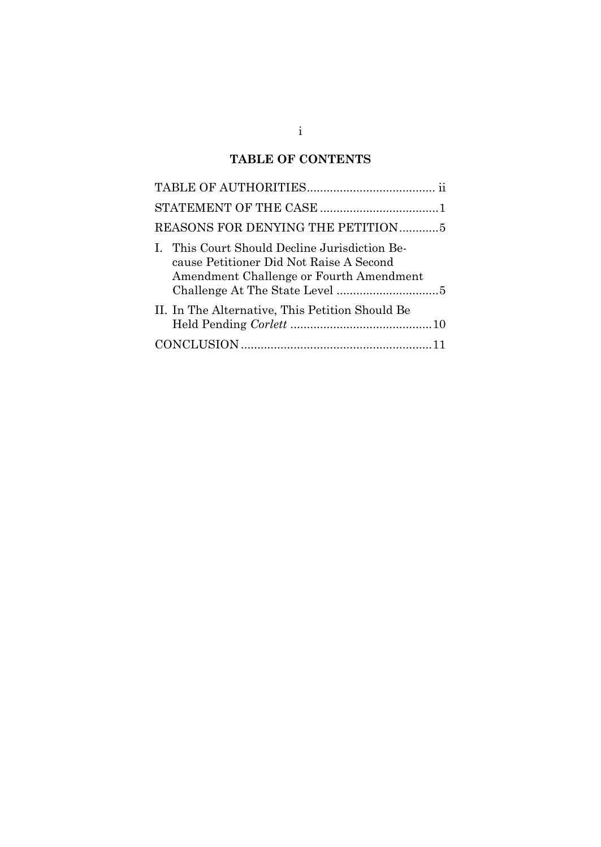### **TABLE OF CONTENTS**

| REASONS FOR DENYING THE PETITION5                                                                                                   |
|-------------------------------------------------------------------------------------------------------------------------------------|
| I. This Court Should Decline Jurisdiction Be-<br>cause Petitioner Did Not Raise A Second<br>Amendment Challenge or Fourth Amendment |
| II. In The Alternative, This Petition Should Be                                                                                     |
|                                                                                                                                     |

### $i$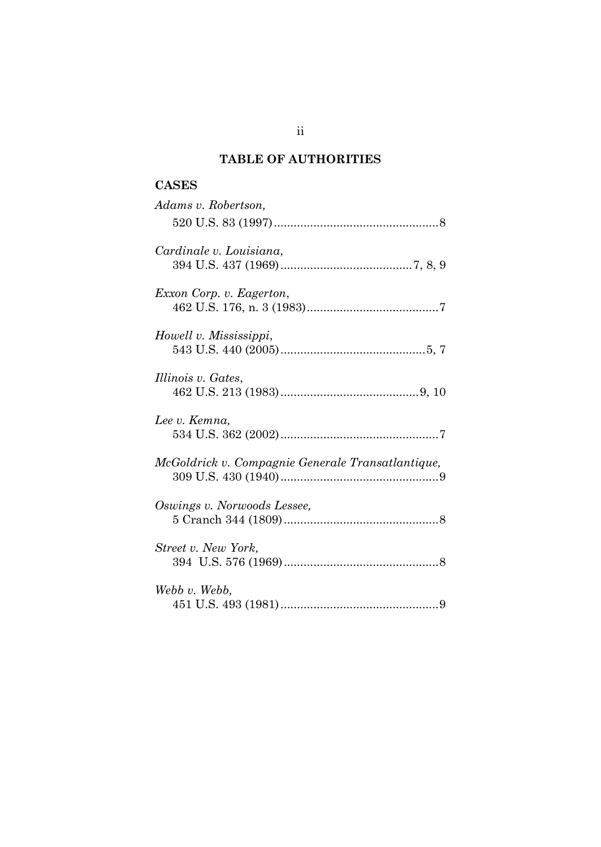# **TABLE OF AUTHORITIES**

### **CASES**

| Adams v. Robertson,                               |
|---------------------------------------------------|
|                                                   |
| Cardinale v. Louisiana,                           |
| Exxon Corp. v. Eagerton,                          |
| Howell v. Mississippi,                            |
| Illinois v. Gates,                                |
| Lee v. Kemna,                                     |
| McGoldrick v. Compagnie Generale Transatlantique, |
| Oswings v. Norwoods Lessee,                       |
| Street v. New York,                               |
| Webb v. Webb,                                     |

ii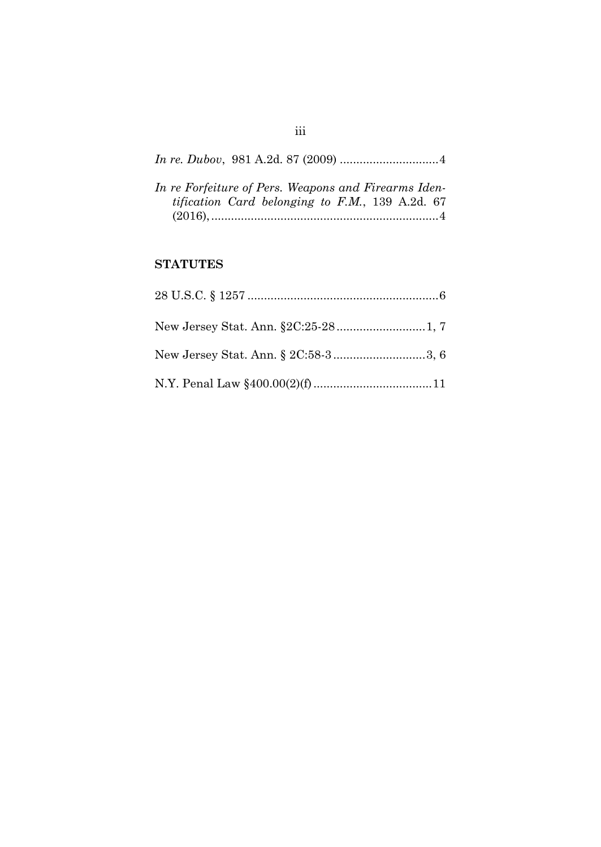| In re Forfeiture of Pers. Weapons and Firearms Iden- |  |
|------------------------------------------------------|--|
| tification Card belonging to F.M., 139 A.2d. 67      |  |
|                                                      |  |

# **STATUTES**

### iii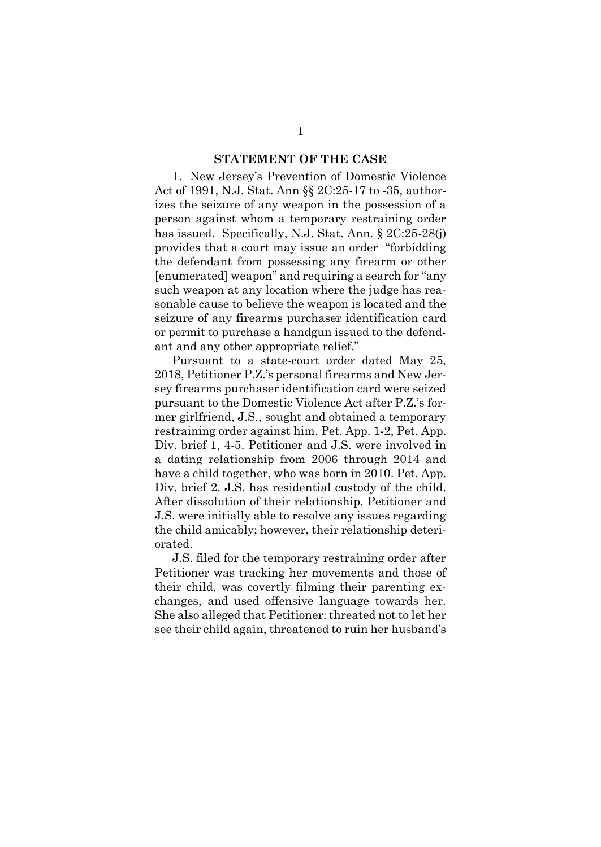#### **STATEMENT OF THE CASE**

1. New Jersey's Prevention of Domestic Violence Act of 1991, N.J. Stat. Ann §§ 2C:25-17 to -35, authorizes the seizure of any weapon in the possession of a person against whom a temporary restraining order has issued. Specifically, N.J. Stat. Ann. § 2C:25-28(j) provides that a court may issue an order "forbidding the defendant from possessing any firearm or other [enumerated] weapon" and requiring a search for "any such weapon at any location where the judge has reasonable cause to believe the weapon is located and the seizure of any firearms purchaser identification card or permit to purchase a handgun issued to the defendant and any other appropriate relief."

Pursuant to a state-court order dated May 25, 2018, Petitioner P.Z.'s personal firearms and New Jersey firearms purchaser identification card were seized pursuant to the Domestic Violence Act after P.Z.'s former girlfriend, J.S., sought and obtained a temporary restraining order against him. Pet. App. 1-2, Pet. App. Div. brief 1, 4-5. Petitioner and J.S. were involved in a dating relationship from 2006 through 2014 and have a child together, who was born in 2010. Pet. App. Div. brief 2. J.S. has residential custody of the child. After dissolution of their relationship, Petitioner and J.S. were initially able to resolve any issues regarding the child amicably; however, their relationship deteriorated.

J.S. filed for the temporary restraining order after Petitioner was tracking her movements and those of their child, was covertly filming their parenting exchanges, and used offensive language towards her. She also alleged that Petitioner: threated not to let her see their child again, threatened to ruin her husband's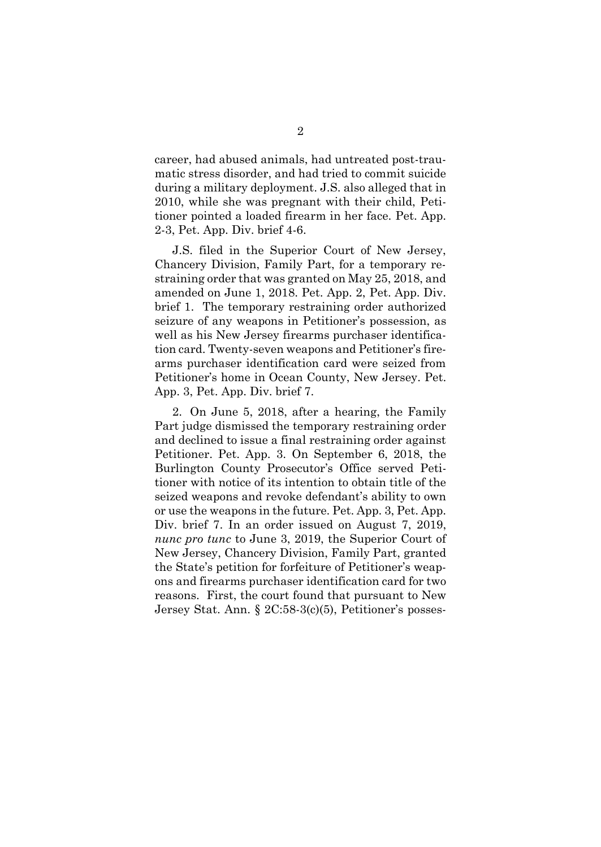career, had abused animals, had untreated post-traumatic stress disorder, and had tried to commit suicide during a military deployment. J.S. also alleged that in 2010, while she was pregnant with their child, Petitioner pointed a loaded firearm in her face. Pet. App. 2-3, Pet. App. Div. brief 4-6.

J.S. filed in the Superior Court of New Jersey, Chancery Division, Family Part, for a temporary restraining order that was granted on May 25, 2018, and amended on June 1, 2018. Pet. App. 2, Pet. App. Div. brief 1. The temporary restraining order authorized seizure of any weapons in Petitioner's possession, as well as his New Jersey firearms purchaser identification card. Twenty-seven weapons and Petitioner's firearms purchaser identification card were seized from Petitioner's home in Ocean County, New Jersey. Pet. App. 3, Pet. App. Div. brief 7.

2. On June 5, 2018, after a hearing, the Family Part judge dismissed the temporary restraining order and declined to issue a final restraining order against Petitioner. Pet. App. 3. On September 6, 2018, the Burlington County Prosecutor's Office served Petitioner with notice of its intention to obtain title of the seized weapons and revoke defendant's ability to own or use the weapons in the future. Pet. App. 3, Pet. App. Div. brief 7. In an order issued on August 7, 2019, *nunc pro tunc* to June 3, 2019, the Superior Court of New Jersey, Chancery Division, Family Part, granted the State's petition for forfeiture of Petitioner's weapons and firearms purchaser identification card for two reasons. First, the court found that pursuant to New Jersey Stat. Ann. § 2C:58-3(c)(5), Petitioner's posses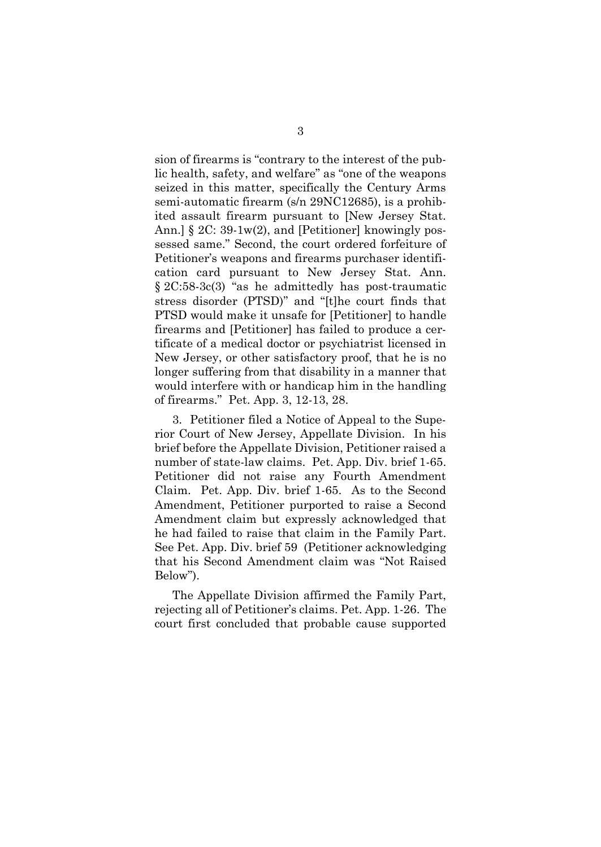sion of firearms is "contrary to the interest of the public health, safety, and welfare" as "one of the weapons seized in this matter, specifically the Century Arms semi-automatic firearm (s/n 29NC12685), is a prohibited assault firearm pursuant to [New Jersey Stat. Ann.] § 2C: 39-1w(2), and [Petitioner] knowingly possessed same." Second, the court ordered forfeiture of Petitioner's weapons and firearms purchaser identification card pursuant to New Jersey Stat. Ann. § 2C:58-3c(3) "as he admittedly has post-traumatic stress disorder (PTSD)" and "[t]he court finds that PTSD would make it unsafe for [Petitioner] to handle firearms and [Petitioner] has failed to produce a certificate of a medical doctor or psychiatrist licensed in New Jersey, or other satisfactory proof, that he is no longer suffering from that disability in a manner that would interfere with or handicap him in the handling of firearms." Pet. App. 3, 12-13, 28.

3. Petitioner filed a Notice of Appeal to the Superior Court of New Jersey, Appellate Division. In his brief before the Appellate Division, Petitioner raised a number of state-law claims. Pet. App. Div. brief 1-65. Petitioner did not raise any Fourth Amendment Claim. Pet. App. Div. brief 1-65. As to the Second Amendment, Petitioner purported to raise a Second Amendment claim but expressly acknowledged that he had failed to raise that claim in the Family Part. See Pet. App. Div. brief 59 (Petitioner acknowledging that his Second Amendment claim was "Not Raised Below").

The Appellate Division affirmed the Family Part, rejecting all of Petitioner's claims. Pet. App. 1-26. The court first concluded that probable cause supported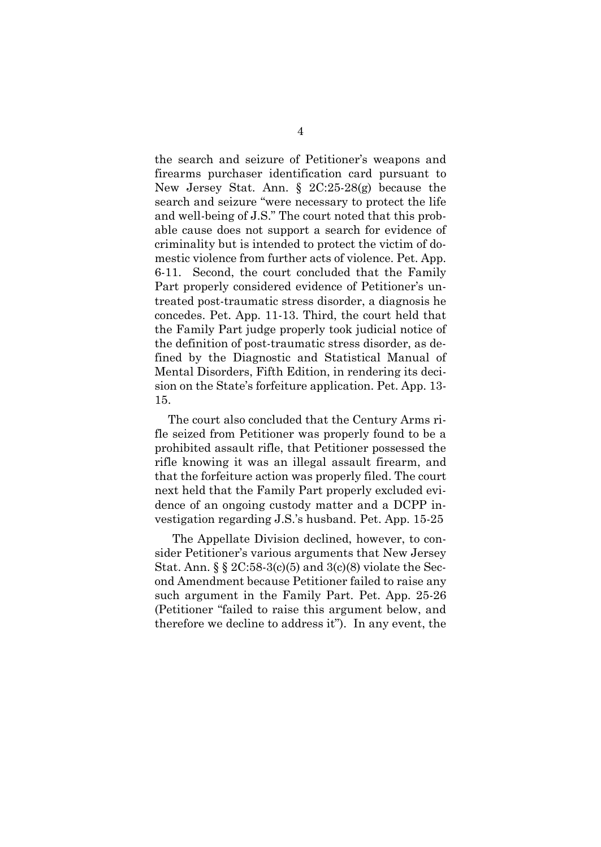the search and seizure of Petitioner's weapons and firearms purchaser identification card pursuant to New Jersey Stat. Ann. § 2C:25-28(g) because the search and seizure "were necessary to protect the life and well-being of J.S." The court noted that this probable cause does not support a search for evidence of criminality but is intended to protect the victim of domestic violence from further acts of violence. Pet. App. 6-11. Second, the court concluded that the Family Part properly considered evidence of Petitioner's untreated post-traumatic stress disorder, a diagnosis he concedes. Pet. App. 11-13. Third, the court held that the Family Part judge properly took judicial notice of the definition of post-traumatic stress disorder, as defined by the Diagnostic and Statistical Manual of Mental Disorders, Fifth Edition, in rendering its decision on the State's forfeiture application. Pet. App. 13- 15.

The court also concluded that the Century Arms rifle seized from Petitioner was properly found to be a prohibited assault rifle, that Petitioner possessed the rifle knowing it was an illegal assault firearm, and that the forfeiture action was properly filed. The court next held that the Family Part properly excluded evidence of an ongoing custody matter and a DCPP investigation regarding J.S.'s husband. Pet. App. 15-25

The Appellate Division declined, however, to consider Petitioner's various arguments that New Jersey Stat. Ann. § § 2C:58-3(c)(5) and 3(c)(8) violate the Second Amendment because Petitioner failed to raise any such argument in the Family Part. Pet. App. 25-26 (Petitioner "failed to raise this argument below, and therefore we decline to address it"). In any event, the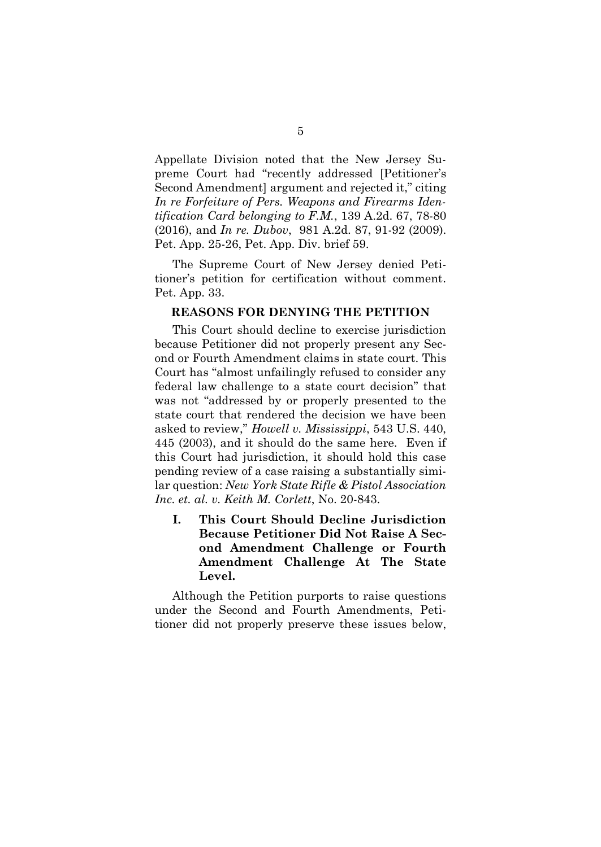Appellate Division noted that the New Jersey Supreme Court had "recently addressed [Petitioner's Second Amendment] argument and rejected it," citing *In re Forfeiture of Pers. Weapons and Firearms Identification Card belonging to F.M.*, 139 A.2d. 67, 78-80 (2016), and *In re. Dubov*, 981 A.2d. 87, 91-92 (2009). Pet. App. 25-26, Pet. App. Div. brief 59.

The Supreme Court of New Jersey denied Petitioner's petition for certification without comment. Pet. App. 33.

#### **REASONS FOR DENYING THE PETITION**

This Court should decline to exercise jurisdiction because Petitioner did not properly present any Second or Fourth Amendment claims in state court. This Court has "almost unfailingly refused to consider any federal law challenge to a state court decision" that was not "addressed by or properly presented to the state court that rendered the decision we have been asked to review," *Howell v. Mississippi*, 543 U.S. 440, 445 (2003), and it should do the same here. Even if this Court had jurisdiction, it should hold this case pending review of a case raising a substantially similar question: *New York State Rifle & Pistol Association Inc. et. al. v. Keith M. Corlett*, No. 20-843.

**I. This Court Should Decline Jurisdiction Because Petitioner Did Not Raise A Second Amendment Challenge or Fourth Amendment Challenge At The State Level.**

Although the Petition purports to raise questions under the Second and Fourth Amendments, Petitioner did not properly preserve these issues below,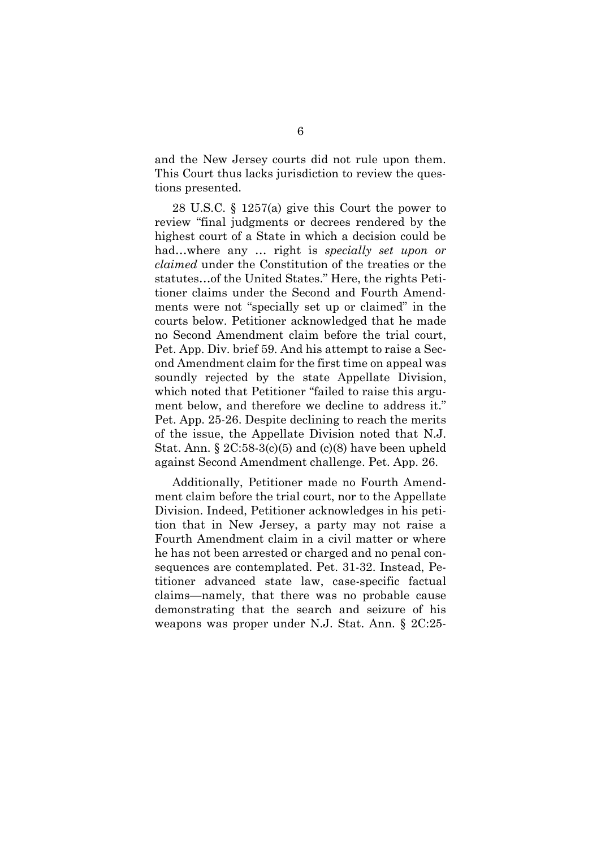and the New Jersey courts did not rule upon them. This Court thus lacks jurisdiction to review the questions presented.

28 U.S.C. § 1257(a) give this Court the power to review "final judgments or decrees rendered by the highest court of a State in which a decision could be had…where any … right is *specially set upon or claimed* under the Constitution of the treaties or the statutes…of the United States." Here, the rights Petitioner claims under the Second and Fourth Amendments were not "specially set up or claimed" in the courts below. Petitioner acknowledged that he made no Second Amendment claim before the trial court, Pet. App. Div. brief 59. And his attempt to raise a Second Amendment claim for the first time on appeal was soundly rejected by the state Appellate Division, which noted that Petitioner "failed to raise this argument below, and therefore we decline to address it." Pet. App. 25-26. Despite declining to reach the merits of the issue, the Appellate Division noted that N.J. Stat. Ann.  $\S 2C:58-3(c)(5)$  and  $(c)(8)$  have been upheld against Second Amendment challenge. Pet. App. 26.

Additionally, Petitioner made no Fourth Amendment claim before the trial court, nor to the Appellate Division. Indeed, Petitioner acknowledges in his petition that in New Jersey, a party may not raise a Fourth Amendment claim in a civil matter or where he has not been arrested or charged and no penal consequences are contemplated. Pet. 31-32. Instead, Petitioner advanced state law, case-specific factual claims—namely, that there was no probable cause demonstrating that the search and seizure of his weapons was proper under N.J. Stat. Ann. § 2C:25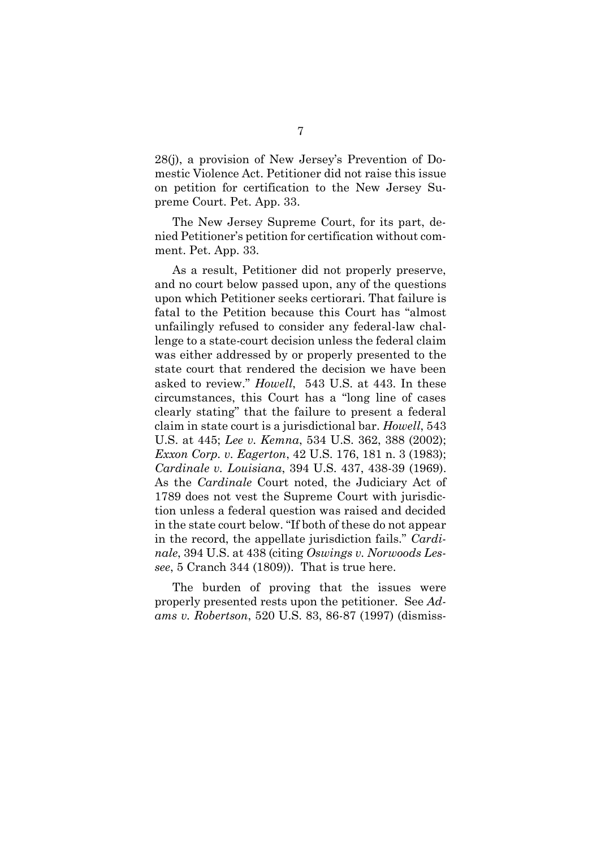28(j), a provision of New Jersey's Prevention of Domestic Violence Act. Petitioner did not raise this issue on petition for certification to the New Jersey Supreme Court. Pet. App. 33.

The New Jersey Supreme Court, for its part, denied Petitioner's petition for certification without comment. Pet. App. 33.

As a result, Petitioner did not properly preserve, and no court below passed upon, any of the questions upon which Petitioner seeks certiorari. That failure is fatal to the Petition because this Court has "almost unfailingly refused to consider any federal-law challenge to a state-court decision unless the federal claim was either addressed by or properly presented to the state court that rendered the decision we have been asked to review." *Howell*, 543 U.S. at 443. In these circumstances, this Court has a "long line of cases clearly stating" that the failure to present a federal claim in state court is a jurisdictional bar. *Howell*, 543 U.S. at 445; *Lee v. Kemna*, 534 U.S. 362, 388 (2002); *Exxon Corp. v. Eagerton*, 42 U.S. 176, 181 n. 3 (1983); *Cardinale v. Louisiana*, 394 U.S. 437, 438-39 (1969). As the *Cardinale* Court noted, the Judiciary Act of 1789 does not vest the Supreme Court with jurisdiction unless a federal question was raised and decided in the state court below. "If both of these do not appear in the record, the appellate jurisdiction fails." *Cardinale*, 394 U.S. at 438 (citing *Oswings v. Norwoods Lessee*, 5 Cranch 344 (1809)). That is true here.

The burden of proving that the issues were properly presented rests upon the petitioner. See *Adams v. Robertson*, 520 U.S. 83, 86-87 (1997) (dismiss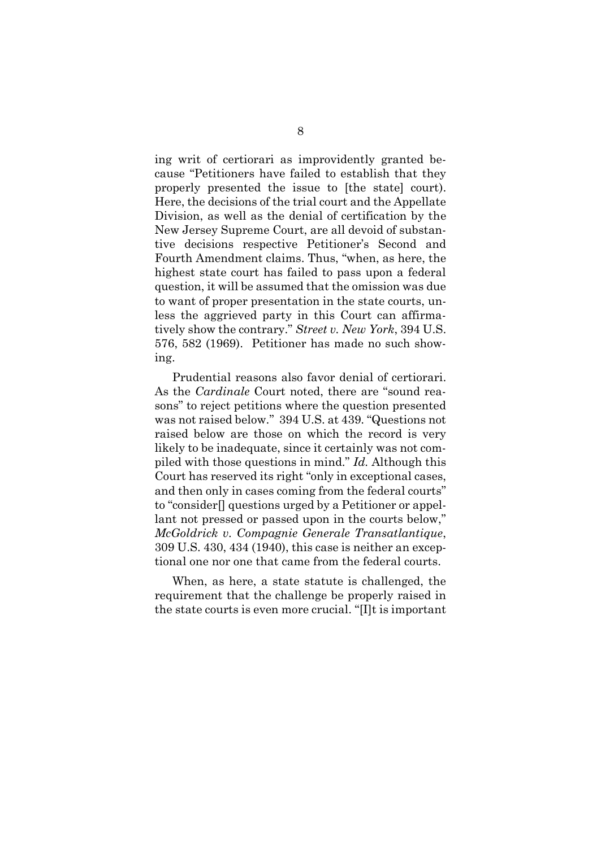ing writ of certiorari as improvidently granted because "Petitioners have failed to establish that they properly presented the issue to [the state] court). Here, the decisions of the trial court and the Appellate Division, as well as the denial of certification by the New Jersey Supreme Court, are all devoid of substantive decisions respective Petitioner's Second and Fourth Amendment claims. Thus, "when, as here, the highest state court has failed to pass upon a federal question, it will be assumed that the omission was due to want of proper presentation in the state courts, unless the aggrieved party in this Court can affirmatively show the contrary." *Street v. New York*, 394 U.S. 576, 582 (1969). Petitioner has made no such showing.

Prudential reasons also favor denial of certiorari. As the *Cardinale* Court noted, there are "sound reasons" to reject petitions where the question presented was not raised below." 394 U.S. at 439. "Questions not raised below are those on which the record is very likely to be inadequate, since it certainly was not compiled with those questions in mind." *Id.* Although this Court has reserved its right "only in exceptional cases, and then only in cases coming from the federal courts" to "consider[] questions urged by a Petitioner or appellant not pressed or passed upon in the courts below," *McGoldrick v. Compagnie Generale Transatlantique*, 309 U.S. 430, 434 (1940), this case is neither an exceptional one nor one that came from the federal courts.

When, as here, a state statute is challenged, the requirement that the challenge be properly raised in the state courts is even more crucial. "[I]t is important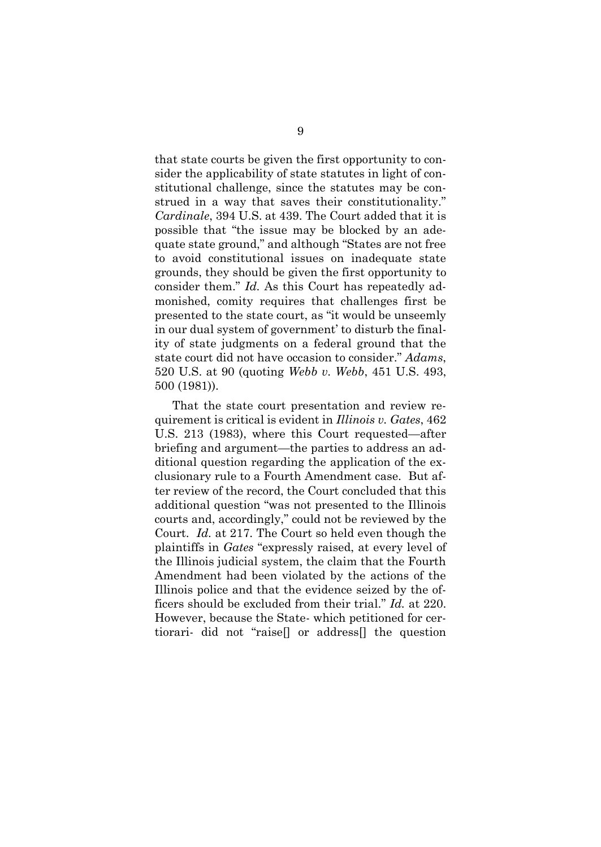that state courts be given the first opportunity to consider the applicability of state statutes in light of constitutional challenge, since the statutes may be construed in a way that saves their constitutionality." *Cardinale*, 394 U.S. at 439. The Court added that it is possible that "the issue may be blocked by an adequate state ground," and although "States are not free to avoid constitutional issues on inadequate state grounds, they should be given the first opportunity to consider them." *Id.* As this Court has repeatedly admonished, comity requires that challenges first be presented to the state court, as "it would be unseemly in our dual system of government' to disturb the finality of state judgments on a federal ground that the state court did not have occasion to consider." *Adams*, 520 U.S. at 90 (quoting *Webb v. Webb*, 451 U.S. 493, 500 (1981)).

That the state court presentation and review requirement is critical is evident in *Illinois v. Gates*, 462 U.S. 213 (1983), where this Court requested—after briefing and argument—the parties to address an additional question regarding the application of the exclusionary rule to a Fourth Amendment case. But after review of the record, the Court concluded that this additional question "was not presented to the Illinois courts and, accordingly," could not be reviewed by the Court. *Id.* at 217. The Court so held even though the plaintiffs in *Gates* "expressly raised, at every level of the Illinois judicial system, the claim that the Fourth Amendment had been violated by the actions of the Illinois police and that the evidence seized by the officers should be excluded from their trial." *Id.* at 220. However, because the State- which petitioned for certiorari- did not "raise[] or address[] the question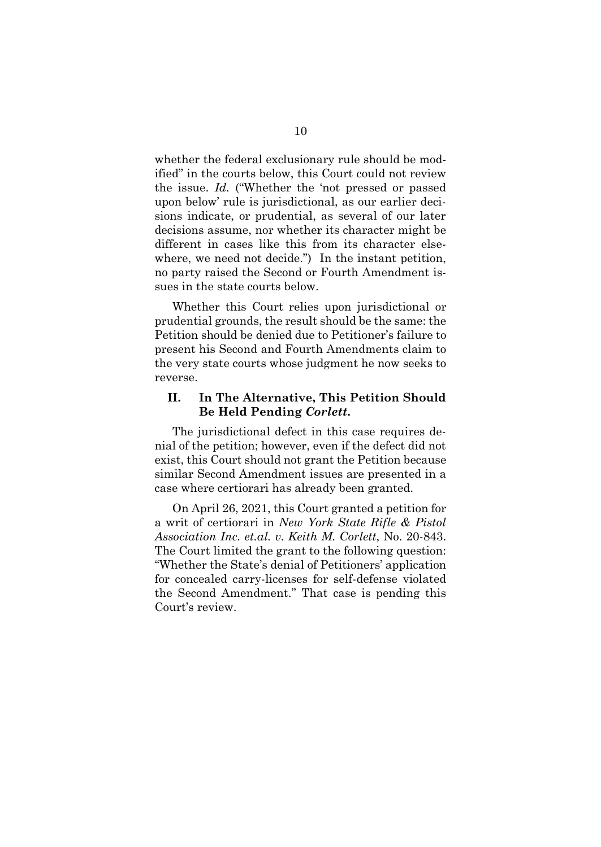whether the federal exclusionary rule should be modified" in the courts below, this Court could not review the issue. *Id.* ("Whether the 'not pressed or passed upon below' rule is jurisdictional, as our earlier decisions indicate, or prudential, as several of our later decisions assume, nor whether its character might be different in cases like this from its character elsewhere, we need not decide.") In the instant petition, no party raised the Second or Fourth Amendment issues in the state courts below.

Whether this Court relies upon jurisdictional or prudential grounds, the result should be the same: the Petition should be denied due to Petitioner's failure to present his Second and Fourth Amendments claim to the very state courts whose judgment he now seeks to reverse.

### **II. In The Alternative, This Petition Should Be Held Pending** *Corlett***.**

The jurisdictional defect in this case requires denial of the petition; however, even if the defect did not exist, this Court should not grant the Petition because similar Second Amendment issues are presented in a case where certiorari has already been granted.

On April 26, 2021, this Court granted a petition for a writ of certiorari in *New York State Rifle & Pistol Association Inc. et.al. v. Keith M. Corlett*, No. 20-843. The Court limited the grant to the following question: "Whether the State's denial of Petitioners' application for concealed carry-licenses for self-defense violated the Second Amendment." That case is pending this Court's review.